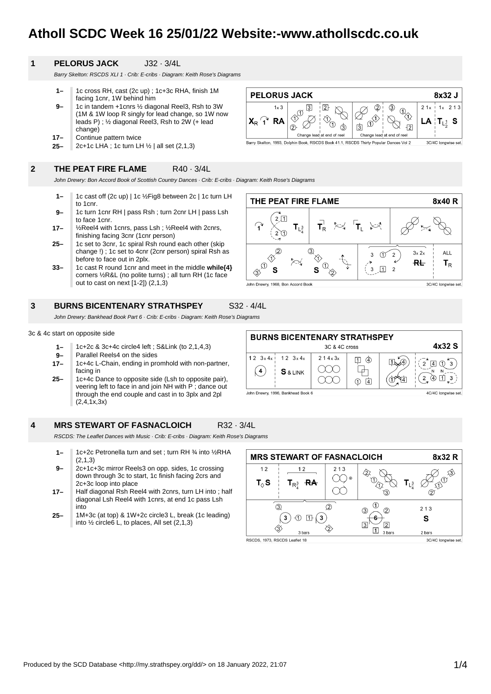# **Atholl SCDC Week 16 25/01/22 Website:-www.athollscdc.co.uk**

**PELORUS JACK** 

 $\textcircled{1}$  $\overline{3}$ 

 $^{\circledR}$ 

 $\cancel{\mathscr{E}}$ 

 $\boxed{2}$ 

Xî

Barry Skelton, 1993, Dolphin Book, RSCDS Book 41.1, RSCDS Thirty Popular Dances Vol 2

Change lead at end of reel

O  $\overline{3}$ 

 $1 \times 3$ 

**RA** 

 $X_{R}$   $\widehat{A}$ 

#### **1 PELORUS JACK** J32 · 3/4L

Barry Skelton: RSCDS XLI 1 · Crib: E-cribs · Diagram: Keith Rose's Diagrams

- **1–** 1c cross RH, cast (2c up) ; 1c+3c RHA, finish 1M facing 1cnr, 1W behind him
- **9–** 1c in tandem +1cnrs ½ diagonal Reel3, Rsh to 3W (1M & 1W loop R singly for lead change, so 1W now leads P) ; ½ diagonal Reel3, Rsh to 2W (+ lead change)
- **17–** Continue pattern twice
- **25–** 2c+1c LHA ; 1c turn LH ½ | all set (2,1,3)

#### **2 THE PEAT FIRE FLAME** R40 · 3/4L

John Drewry: Bon Accord Book of Scottish Country Dances · Crib: E-cribs · Diagram: Keith Rose's Diagrams

- **1–** 1c cast off (2c up) | 1c ½Fig8 between 2c | 1c turn LH to 1cnr.
- **9–** 1c turn 1cnr RH | pass Rsh ; turn 2cnr LH | pass Lsh to face 1cnr.
- **17–** ½Reel4 with 1cnrs, pass Lsh ; ½Reel4 with 2cnrs, finishing facing 3cnr (1cnr person)
- **25–** 1c set to 3cnr, 1c spiral Rsh round each other (skip change !) ; 1c set to 4cnr (2cnr person) spiral Rsh as before to face out in 2plx.
- **33–** 1c cast R round 1cnr and meet in the middle **while{4}** corners ½R&L (no polite turns) ; all turn RH (1c face out to cast on next [1-2]) (2,1,3)

#### **3 BURNS BICENTENARY STRATHSPEY** S32 · 4/4L

John Drewry: Bankhead Book Part 6 · Crib: E-cribs · Diagram: Keith Rose's Diagrams

### 3c & 4c start on opposite side

- **1–** 1c+2c & 3c+4c circle4 left ; S&Link (to 2,1,4,3)
- **9–** Parallel Reels4 on the sides
- **17–** 1c+4c L-Chain, ending in promhold with non-partner, facing in
- **25–** 1c+4c Dance to opposite side (Lsh to opposite pair), veering left to face in and join NH with P; dance out through the end couple and cast in to 3plx and 2pl  $(2,4,1x,3x)$

#### **4 MRS STEWART OF FASNACLOICH** R32 · 3/4L

RSCDS: The Leaflet Dances with Music · Crib: E-cribs · Diagram: Keith Rose's Diagrams

- **1–** 1c+2c Petronella turn and set ; turn RH ¾ into ½RHA  $(2.1.3)$
- **9–** 2c+1c+3c mirror Reels3 on opp. sides, 1c crossing down through 3c to start, 1c finish facing 2crs and 2c+3c loop into place
- **17–** Half diagonal Rsh Reel4 with 2cnrs, turn LH into ; half diagonal Lsh Reel4 with 1cnrs, at end 1c pass Lsh into
- **25–** 1M+3c (at top) & 1W+2c circle3 L, break (1c leading) into ½ circle6 L, to places, All set (2,1,3)

| <b>MRS STEWART OF FASNACLOICH</b> |                            |         |                                  | 8x32 R                          |
|-----------------------------------|----------------------------|---------|----------------------------------|---------------------------------|
| 12                                | 12                         | 213     |                                  | $\sqrt{3}$                      |
| $\mathbf{T}_{\Diamond }$ S        | RA<br>$T_{\mathsf{R}^3_4}$ | $\odot$ | 3                                | $\bigcap$<br>$\mathbf{T}_{L^3}$ |
| 2<br>O.                           |                            |         | ③<br>②                           | 213                             |
|                                   |                            |         | $\overline{3}$<br>$\overline{2}$ | s                               |
| 3 bars                            |                            |         | 3 bars                           | 2 bars                          |
| RSCDS, 1973, RSCDS Leaflet 18     |                            |         | 3C/4C longwise set.              |                                 |

THE PEAT FIRE FLAME 8x40R  $2\sqrt{1}$  $T_{\rm R}^{\perp}$ ्∀ 'T ≿्र  $T_{L^3_{\bar{a}}}$ ြ  $2\pi$  $\circled{2}$  $(3)$  $3x2x$ **ALL**  $\sigma$  $\sqrt{2}$  $\mathsf 3$  $\hat{\triangle}$ 谷  $R_{\rm L}$  $T_R$  $\Omega$  $\odot$  $\sqrt{1}$  2  $\overline{3}$ S S  $\langle \hat{3} \rangle$ John Drewry, 1968, Bon Accord Book 3C/4C longwise set.

8x32 J

 $LA$   $T_{L_2^1}$  S

3C/4C longwise set

 $213$ 

 $\bigoplus_{\lambda}$ 

 $\overline{2}$ 

 $\circ$ 

Change lead at end of reel

 $\Omega$ 

 $\overline{3}$ 

 $21<sub>x</sub>$  $1<sub>x</sub>$ 



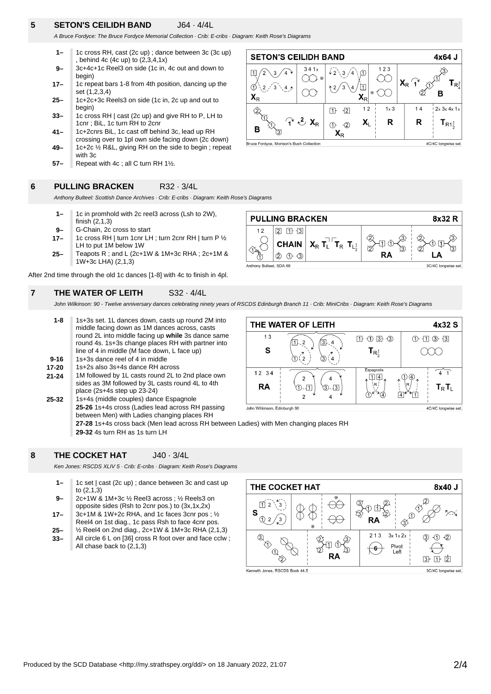### **5 SETON'S CEILIDH BAND** J64 · 4/4L

A Bruce Fordyce: The Bruce Fordyce Memorial Collection · Crib: E-cribs · Diagram: Keith Rose's Diagrams

- **9– 1–** 1c cross RH, cast (2c up) ; dance between 3c (3c up) , behind 4c (4c up) to (2,3,4,1x) 3c+4c+1c Reel3 on side (1c in, 4c out and down to
- **17–** begin) 1c repeat bars 1-8 from 4th position, dancing up the
- **25–** set (1,2,3,4) 1c+2c+3c Reels3 on side (1c in, 2c up and out to
- **33–** begin) 1c cross RH | cast (2c up) and give RH to P, LH to
- **41–** 1cnr ; BiL, 1c turn RH to 2cnr 1c+2cnrs BiL, 1c cast off behind 3c, lead up RH
- **49–** crossing over to 1pl own side facing down (2c down) 1c+2c ½ R&L, giving RH on the side to begin ; repeat
- with 3c
- **57–** Repeat with 4c ; all C turn RH 1½.



**6 PULLING BRACKEN** R32 · 3/4L

Anthony Bulteel: Scottish Dance Archives · Crib: E-cribs · Diagram: Keith Rose's Diagrams

- **1–** 1c in promhold with 2c reel3 across (Lsh to 2W), finish (2,1,3)
- **9–** G-Chain, 2c cross to start
- **17–** 1c cross RH | turn 1cnr LH ; turn 2cnr RH | turn P ½ LH to put 1M below 1W
- **25–** Teapots R ; and L (2c+1W & 1M+3c RHA ; 2c+1M & 1W+3c LHA) (2,1,3)

After 2nd time through the old 1c dances [1-8] with 4c to finish in 4pl.

#### **7 THE WATER OF LEITH** S32 · 4/4L



John Wilkinson: 90 - Twelve anniversary dances celebrating ninety years of RSCDS Edinburgh Branch 11 · Crib: MiniCribs · Diagram: Keith Rose's Diagrams

**25-32 21-24 17-20 9-16 1-8** 1s+3s set. 1L dances down, casts up round 2M into middle facing down as 1M dances across, casts round 2L into middle facing up **while** 3s dance same round 4s. 1s+3s change places RH with partner into line of 4 in middle (M face down, L face up) 1s+3s dance reel of 4 in middle 1s+2s also 3s+4s dance RH across 1M followed by 1L casts round 2L to 2nd place own sides as 3M followed by 3L casts round 4L to 4th place (2s+4s step up 23-24) 1s+4s (middle couples) dance Espagnole **25-26** 1s+4s cross (Ladies lead across RH passing



between Men) with Ladies changing places RH **27-28** 1s+4s cross back (Men lead across RH between Ladies) with Men changing places RH **29-32** 4s turn RH as 1s turn LH

#### **8 THE COCKET HAT** J40 · 3/4L

Ken Jones: RSCDS XLIV 5 · Crib: E-cribs · Diagram: Keith Rose's Diagrams

- **9– 1–** 1c set | cast (2c up) ; dance between 3c and cast up to (2,1,3) 2c+1W & 1M+3c ½ Reel3 across ; ½ Reels3 on
- **17–** opposite sides (Rsh to 2cnr pos.) to (3x,1x,2x) 3c+1M & 1W+2c RHA, and 1c faces 3cnr pos ; ½
- **25–** Reel4 on 1st diag., 1c pass Rsh to face 4cnr pos. ½ Reel4 on 2nd diag., 2c+1W & 1M+3c RHA (2,1,3)
- **33–** All circle 6 L on [36] cross R foot over and face cclw ; All chase back to (2,1,3)

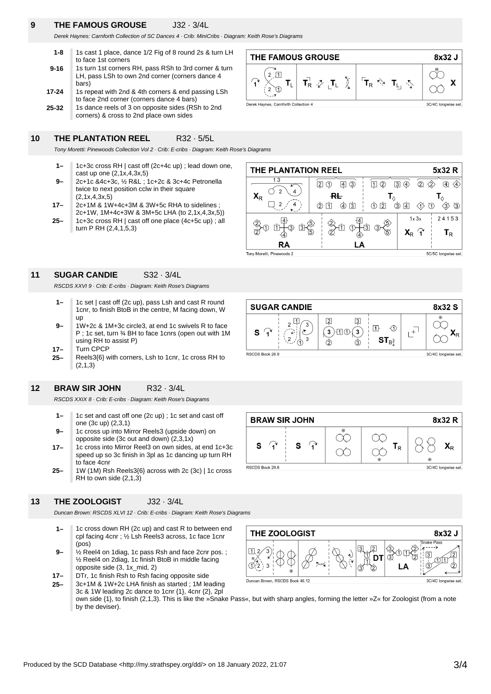### **9 THE FAMOUS GROUSE** J32 · 3/4L

Derek Haynes: Carnforth Collection of SC Dances 4 · Crib: MiniCribs · Diagram: Keith Rose's Diagrams

| $1 - 8$   | 1s cast 1 place, dance 1/2 Fig of 8 round 2s & turn LH                                                            |
|-----------|-------------------------------------------------------------------------------------------------------------------|
|           | to face 1st corners                                                                                               |
| $9 - 16$  | 1s turn 1st corners RH, pass RSh to 3rd corner & turn<br>LH, pass LSh to own 2nd corner (corners dance 4<br>bars) |
| $17 - 24$ | 1s repeat with 2nd & 4th corners & end passing LSh<br>to face 2nd corner (corners dance 4 bars)                   |
| 25-32     | 1s dance reels of 3 on opposite sides (RSh to 2nd                                                                 |

corners) & cross to 2nd place own sides

#### **10 THE PLANTATION REEL** R32 · 5/5L

**SUGAR CANDIE** S32 · 3/4L

using RH to assist P)

one (3c up) (2,3,1)

to face 4cnr

**BRAW SIR JOHN** R32 · 3/4L

RSCDS XXIX 8 · Crib: E-cribs · Diagram: Keith Rose's Diagrams

1c set and cast off one (2c up) ; 1c set and cast off

1c cross into Mirror Reel3 on own sides, at end 1c+3c speed up so 3c finish in 3pl as 1c dancing up turn RH

1c cross up into Mirror Reels3 (upside down) on opposite side (3c out and down) (2,3,1x)

Turn CPCP

(2,1,3)

RSCDS XXVI 9 · Crib: E-cribs · Diagram: Keith Rose's Diagrams

Tony Moretti: Pinewoods Collection Vol 2 · Crib: E-cribs · Diagram: Keith Rose's Diagrams

- **1–** 1c+3c cross RH | cast off (2c+4c up) ; lead down one, cast up one (2,1x,4,3x,5)
- **9–** 2c+1c &4c+3c, ½ R&L ; 1c+2c & 3c+4c Petronella twice to next position cclw in their square (2,1x,4,3x,5)
- **17–** 2c+1M & 1W+4c+3M & 3W+5c RHA to sidelines ; 2c+1W, 1M+4c+3W & 3M+5c LHA (to 2,1x,4,3x,5))
- **25–** 1c+3c cross RH | cast off one place (4c+5c up) ; all turn P RH (2,4,1,5,3)







**BRAW SIR JOHN** 8x32 R  $\infty$  $\widehat{\mathbf{r}}$  $\widehat{\mathbf{r}}$ S S  $T_R$  $X_{R}$ Œ 6 3C/4C longwise set.

> $\mathcal{C}$ DT

> > LΑ

RSCDS Book 29.8 1W (1M) Rsh Reels3{6} across with 2c (3c) | 1c cross



RH to own side (2,1,3)

**25–**

**17– 9– 1–**

**25– 17–**

**9–**

up

**1–**

**12**

**11**

Duncan Brown: RSCDS XLVI 12 · Crib: E-cribs · Diagram: Keith Rose's Diagrams

- **1–** 1c cross down RH (2c up) and cast R to between end cpl facing 4cnr ; ½ Lsh Reels3 across, 1c face 1cnr (pos)
- **9–** ½ Reel4 on 1diag, 1c pass Rsh and face 2cnr pos. ; ½ Reel4 on 2diag, 1c finish BtoB in middle facing opposite side (3, 1x\_mid, 2)
- **17–** DTr, 1c finish Rsh to Rsh facing opposite side



T

THE ZOOLOGIST





8x32 J ISnake Pass

ക്